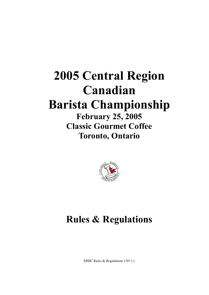# **2005 Central Region Canadian Barista Championship February 25, 2005 Classic Gourmet Coffee**

**Toronto, Ontario**



# **Rules & Regulations**

ERBC Rules & Regulations 1/05 v.1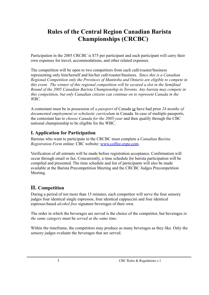# **Rules of the Central Region Canadian Barista Championships (CRCBC)**

Participation in the 2005 CRCBC is \$75 per participant and each participant will carry their own expenses for travel, accommodations, and other related expenses.

The competition will be open to two competitors from each café/roaster/business representing only him/herself and his/her café/roaster/business. *Since this is a Canadian Regional Competition only the Provinces of Manitoba and Ontario are eligible to compete in this event. The winner of this regional competition will be secured a slot in the Semifinal Round of the 2005 Canadian Barista Championship in Toronto. Any barista may compete in this competition, but only Canadian citizens can continue on to represent Canada in the WBC.*

A contestant must be in possession of *a passport* of Canada or have had prior *24 months of documented employment or scholastic curriculum* in Canada. In case of multiple passports, the contestant has to *choose Canada for the 2005-year* and then qualify through the CBC national championship to be eligible for the WBC.

# **I. Application for Participation**

Baristas who want to participate in the CRCBC must complete a *Canadian Barista Registration Form* online: CBC website: [www.coffee-expo.com](http://www.coffee-expo.com).

Verification of all entrants will be made before registration acceptance. Confirmation will occur through email or fax. Concurrently, a time schedule for barista participation will be compiled and presented. The time schedule and list of participants will also be made available at the Barista Precompetition Meeting and the CRCBC Judges Precompetition Meeting.

# **II. Competition**

During a period of not more than 15 minutes, each competitor will serve the four sensory judges four identical single espressos, four identical cappuccini and four identical espresso-based *alcohol free* signature beverages of their own.

The order in which the beverages are served is the choice of the competitor, but beverages *in the same category* must be *served at the same time*.

Within the timeframe, the competitors may produce as many beverages as they like. Only the sensory judges evaluate the beverages that are served.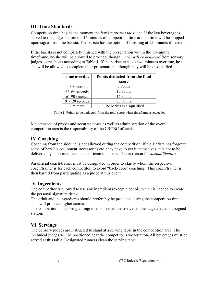# **III. Time Standards**

Competition time begins the moment the *barista presses the timer*. If the last beverage is served to the judges before the 15 minutes of competition time are up, time will be stopped upon signal from the barista. The barista has the option of finishing at 15 minutes if desired.

If the barista is not completely finished with the presentation within the 15-minute timeframe, he/she will be allowed to proceed, though *marks will be deducted* from sensory judges score sheets according to Table 1. If the barista exceeds two minutes overtime, he / she will be allowed to complete their presentation although they will be disqualified.

| Time overdue     | Points deducted from the final |  |  |  |  |
|------------------|--------------------------------|--|--|--|--|
|                  | score                          |  |  |  |  |
| 1-30 seconds     | 5 Points                       |  |  |  |  |
| $31-60$ seconds  | 10 Points                      |  |  |  |  |
| 61-90 seconds    | 15 Points                      |  |  |  |  |
| $91-120$ seconds | 20 Points                      |  |  |  |  |
| 2 minutes        | The barista is disqualified    |  |  |  |  |

**Table 1** Points to be deducted from the total score when timeframe is exceeded.

Maintenance of proper and accurate times as well as administration of the overall competition area is the responsibility of the CRCBC officials.

# **IV. Coaching**

Coaching from the sideline is not allowed during the competition. If the Barista has forgotten some of hers/his equipment, accessories etc. they have to get it themselves, it is not to be delivered by supporters, audience or team members. This is reason for *disqualification*.

An official coach/trainer must be designated in order to clarify whom the respective coach/trainer is for each competitor, to avoid "back-door" coaching. This coach/trainer is then barred from participating as a judge at this event.

# **V. Ingredients**

The competitor is allowed to use any ingredient (except alcohol), which is needed to create the personal signature drink.

The drink and its ingredients should preferably be produced during the competition time. This will produce higher scores.

The competitors must bring all ingredients needed themselves to the stage area and assigned station.

# **VI. Servings**

The Sensory judges are instructed to stand at a serving table in the competition area. The Technical judges will be positioned near the competitor's workstation. All beverages must be served at this table. Designated runners clean the serving table.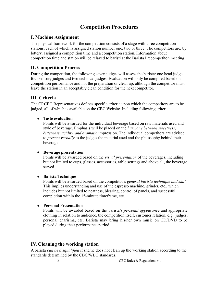# **Competition Procedures**

#### **I. Machine Assignment**

The physical framework for the competition consists of a stage with three competition stations, each of which is assigned station number one, two or three. The competitors are, by lottery, assigned a competition time and a competition station. Information about competition time and station will be relayed to baristi at the Barista Precompetiton meeting.

## **II. Competition Process**

During the competition, the following seven judges will assess the barista: one head judge, four sensory judges and two technical judges. Evaluation will only be compiled based on competition performance and not the preparation or clean up, although the competitor must leave the station in an acceptably clean condition for the next competitor.

## **III. Criteria**

The CRCBC Representatives defines specific criteria upon which the competitors are to be judged, all of which is available on the CBC Website. Including following criteria:

● **Taste evaluation**

Points will be awarded for the individual beverage based on raw materials used and style of beverage. Emphasis will be placed on the *harmony between sweetness, bitterness, acidity, and aromatic* impression. The individual competitors are advised to *present verbally* to the judges the material used and the philosophy behind their beverage.

#### ● **Beverage presentation**

Points will be awarded based on the *visual presentation* of the beverages, including but not limited to cups, glasses, accessories, table settings and above all, the beverage served.

#### ● **Barista Technique**

Points will be awarded based on the competitor's *general barista technique and skill*. This implies understanding and use of the espresso machine, grinder, etc., which includes but not limited to neatness, blearing, control of panels, and successful completion within the 15-minute timeframe, etc.

#### ● **Personal Presentation**

Points will be awarded based on the barista's *personal appearance* and appropriate clothing in relation to audience, the competition itself, customer relation, e.g., judges, personal charisma, etc. Barista may bring his/her own music on CD/DVD to be played during their performance period.

### **IV. Cleaning the working station**

A barista *can be disqualified* if she/he does not clean up the working station according to the standards determined by the CBC/WBC standards.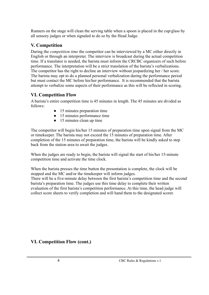Runners on the stage will clean the serving table when a spoon is placed in the cup/glass by all sensory judges or when signaled to do so by the Head Judge.

## **V. Competition**

During the *competition time* the competitor can be interviewed by a MC either directly in English or through an interpreter. The interview is broadcast during the actual competition time. If a translator is needed, the barista must inform the CRCBC organizers of such before performance. The interpretation will be a strict translation of the barista's verbalizations. The competitor has the right to decline an interview without jeopardizing her / her score. The barista may opt to do a planned personal verbalization during the performance period but must contact the MC before his/her performance. It is recommended that the barista attempt to verbalize some aspects of their performance as this will be reflected in scoring.

## **VI. Competition Flow**

A barista's entire competition time is 45 minutes in length. The 45 minutes are divided as follows:

- 15 minutes preparation time
- 15 minutes performance time
- 15 minutes clean up time

The competitor will begin his/her 15 minutes of preparation time upon signal from the MC or timekeeper. The barista may not exceed the 15 minutes of preparation time. After completion of the 15 minutes of preparation time, the barista will be kindly asked to step back from the station area to await the judges.

When the judges are ready to begin, the barista will signal the start of his/her 15-minute competition time and activate the time clock.

When the barista presses the time button the presentation is complete, the clock will be stopped and the MC and/or the timekeeper will inform judges. There will be a five-minute delay between the first barista's competition time and the second

barista's preparation time. The judges use this time delay to complete their written evaluation of the first barista's competition performance. At this time, the head judge will collect score sheets to verify completion and will hand them to the designated scorer.

### **VI. Competition Flow (cont.)**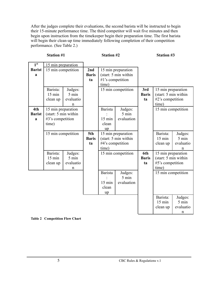After the judges complete their evaluations, the second barista will be instructed to begin their 15-minute performance time. The third competitor will wait five minutes and then begin upon instruction from the timekeeper begin their preparation time. The first barista will begin their clean-up time immediately following completion of their competition performance. (See Table 2.)

| <b>Station #1</b> |  |
|-------------------|--|
|-------------------|--|

**Station #1 Station #2 Station #3**

| 1 <sup>st</sup> | 15 min preparation           |                            |              |                           |            |                    |                                          |                 |
|-----------------|------------------------------|----------------------------|--------------|---------------------------|------------|--------------------|------------------------------------------|-----------------|
| <b>Barist</b>   | 15 min competition           |                            | 2nd          | 15 min preparation        |            |                    |                                          |                 |
| $\mathbf{a}$    |                              |                            | <b>Baris</b> | (start: 5 min within      |            |                    |                                          |                 |
|                 |                              |                            | ta           | #1's competition          |            |                    |                                          |                 |
|                 |                              |                            |              | time)                     |            |                    |                                          |                 |
|                 | Barista:<br>$15 \text{ min}$ | Judges:<br>5 min           |              | 15 min competition        |            | 3rd                | 15 min preparation                       |                 |
|                 | clean up                     | evaluatio                  |              |                           |            | <b>Baris</b><br>ta | (start: 5 min within<br>#2's competition |                 |
|                 |                              | n                          |              |                           |            |                    | time)                                    |                 |
| 4th             | 15 min preparation           |                            |              | <b>Barista</b><br>Judges: |            |                    | 15 min competition                       |                 |
| <b>Barist</b>   | (start: 5 min within         |                            |              |                           | 5 min      |                    |                                          |                 |
| a               | #3's competition             |                            |              | $15 \text{ min}$          | evaluation |                    |                                          |                 |
|                 | time)                        |                            |              | clean                     |            |                    |                                          |                 |
|                 |                              |                            |              | up                        |            |                    |                                          |                 |
|                 | 15 min competition           |                            | 5th          | 15 min preparation        |            |                    | Barista:                                 | Judges:         |
|                 |                              |                            | <b>Baris</b> | (start: 5 min within      |            |                    | 15 min                                   | $5 \text{ min}$ |
|                 |                              |                            | ta           | #4's competition          |            |                    | clean up                                 | evaluatio       |
|                 |                              |                            |              | time)                     |            |                    |                                          | n               |
|                 | Barista:                     | Judges:<br>$5 \text{ min}$ |              | 15 min competition        |            | 6th                | 15 min preparation                       |                 |
|                 | $15 \text{ min}$<br>clean up | evaluatio                  |              |                           |            | <b>Baris</b><br>ta | (start: 5 min within<br>#5's competition |                 |
|                 |                              | n                          |              |                           |            |                    | time)                                    |                 |
|                 |                              |                            |              | <b>Barista</b>            | Judges:    |                    | 15 min competition                       |                 |
|                 |                              |                            |              |                           | 5 min      |                    |                                          |                 |
|                 |                              |                            |              | 15 min                    | evaluation |                    |                                          |                 |
|                 |                              |                            |              | clean                     |            |                    |                                          |                 |
|                 |                              |                            |              | up                        |            |                    |                                          |                 |
|                 |                              |                            |              |                           |            |                    | Barista:                                 | Judges:         |
|                 |                              |                            |              |                           |            |                    | $15 \text{ min}$                         | 5 min           |
|                 |                              |                            |              |                           |            |                    | clean up                                 | evaluatio       |
|                 |                              |                            |              |                           |            |                    |                                          | n               |

**Table 2 Competition Flow Chart**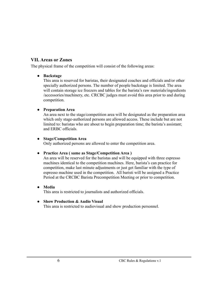## **VII. Areas or Zones**

The physical frame of the competition will consist of the following areas:

#### ● **Backstage**

This area is reserved for baristas, their designated coaches and officials and/or other specially authorized persons. The number of people backstage is limited. The area will contain storage ice freezers and tables for the barista's raw materials/ingredients /accessories/machinery, etc. CRCBC judges must avoid this area prior to and during competition.

#### **● Preparation Area**

An area next to the stage/competition area will be designated as the preparation area which only stage-authorized persons are allowed access. These include but are not limited to: baristas who are about to begin preparation time; the barista's assistant; and ERBC officials.

#### ● **Stage/Competition Area**

Only authorized persons are allowed to enter the competition area.

#### ● **Practice Area ( same as Stage/Competition Area )**

An area will be reserved for the baristas and will be equipped with three espresso machines identical to the competition machines. Here, barista's can practice for competition, make last minute adjustments or just get familiar with the type of espresso machine used in the competition. All baristi will be assigned a Practice Period at the CRCBC Barista Precompetition Meeting or prior to competition.

#### ● **Media**

This area is restricted to journalists and authorized officials.

#### ● **Show Production & Audio Visual**

This area is restricted to audiovisual and show production personnel.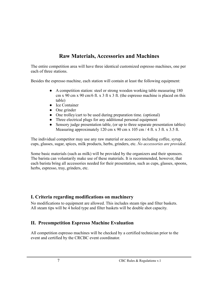# **Raw Materials, Accessories and Machines**

The entire competition area will have three identical customized espresso machines, one per each of three stations.

Besides the espresso machine, each station will contain at least the following equipment:

- A competition station: steel or strong wooden working table measuring 180 cm x 90 cm x 90 cm/6 ft. x 3 ft x 3 ft. (the espresso machine is placed on this table)
- Ice Container
- One grinder
- One trolley/cart to be used during preparation time. (optional)
- Three electrical plugs for any additional personal equipment
- Sensory judge presentation table, (or up to three separate presentation tables) Measuring approximately 120 cm x  $90 \text{ cm}$  x  $105 \text{ cm}$  / 4 ft. x 3 ft. x 3.5 ft.

The individual competitor may use any raw material or accessory including coffee, syrup, cups, glasses, sugar, spices, milk products, herbs, grinders, etc. *No accessories are provided*.

Some basic materials (such as milk) will be provided by the organizers and their sponsors. The barista can voluntarily make use of these materials. It is recommended, however, that each barista bring all accessories needed for their presentation, such as cups, glasses, spoons, herbs, espresso, tray, grinders, etc.

### **I. Criteria regarding modifications on machinery**

No modifications to equipment are allowed. This includes steam tips and filter baskets. All steam tips will be 4 holed type and filter baskets will be double shot capacity.

# **II. Precompetition Espresso Machine Evaluation**

All competition espresso machines will be checked by a certified technician prior to the event and certified by the CRCBC event coordinator.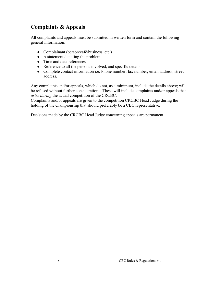# **Complaints & Appeals**

All complaints and appeals must be submitted in written form and contain the following general information:

- Complainant (person/café/business, etc.)
- A statement detailing the problem
- Time and date references
- Reference to all the persons involved, and specific details
- Complete contact information i.e. Phone number; fax number; email address; street address.

Any complaints and/or appeals, which do not, as a minimum, include the details above; will be refused without further consideration. These will include complaints and/or appeals that *arise during* the actual competition of the CRCBC.

Complaints and/or appeals are given to the competition CRCBC Head Judge during the holding of the championship that should preferably be a CBC representative.

Decisions made by the CRCBC Head Judge concerning appeals are permanent.